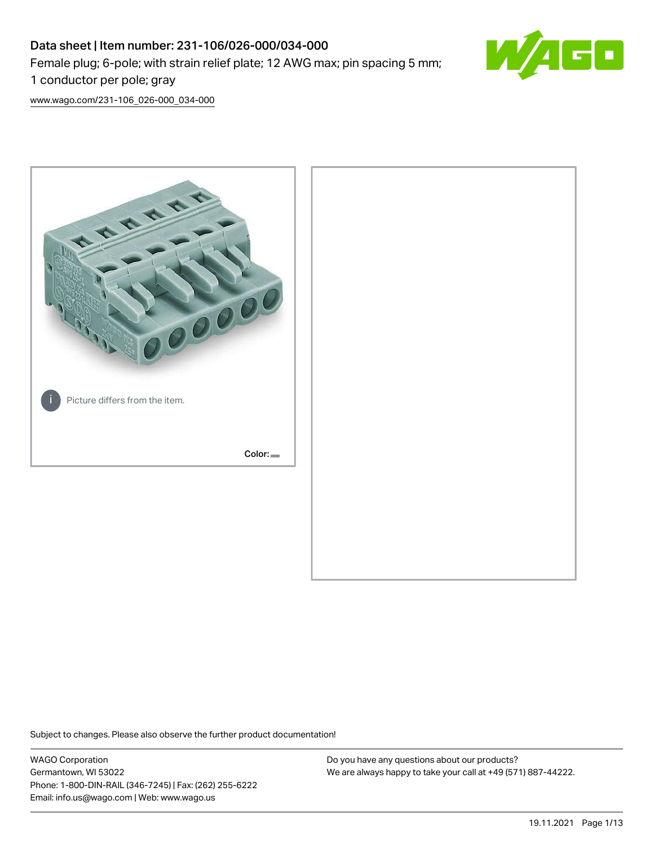# Data sheet | Item number: 231-106/026-000/034-000 Female plug; 6-pole; with strain relief plate; 12 AWG max; pin spacing 5 mm; 1 conductor per pole; gray



[www.wago.com/231-106\\_026-000\\_034-000](http://www.wago.com/231-106_026-000_034-000)



Subject to changes. Please also observe the further product documentation!

WAGO Corporation Germantown, WI 53022 Phone: 1-800-DIN-RAIL (346-7245) | Fax: (262) 255-6222 Email: info.us@wago.com | Web: www.wago.us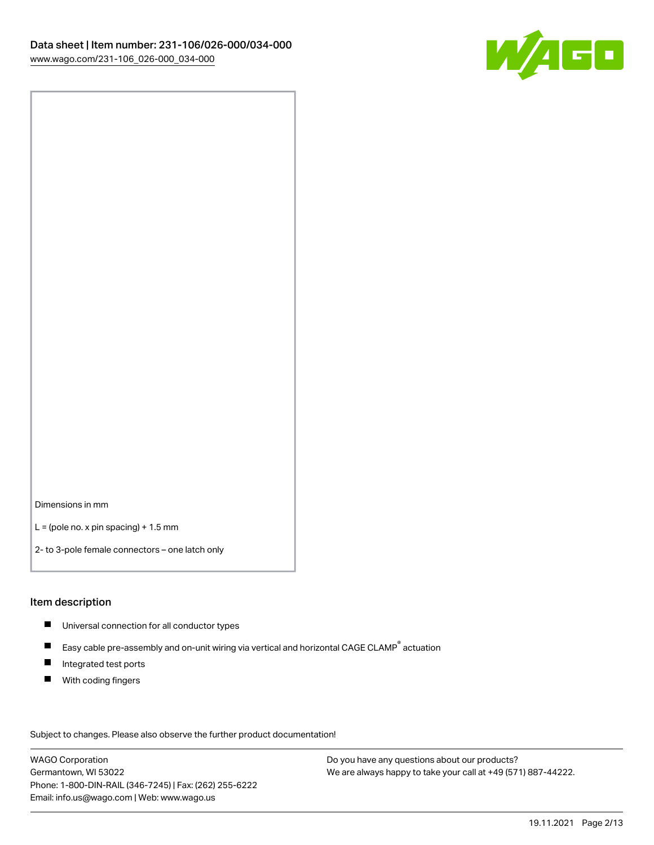

Dimensions in mm

 $L =$  (pole no. x pin spacing) + 1.5 mm

2- to 3-pole female connectors – one latch only

#### Item description

- **Universal connection for all conductor types**
- Easy cable pre-assembly and on-unit wiring via vertical and horizontal CAGE CLAMP<sup>®</sup> actuation  $\blacksquare$
- $\blacksquare$ Integrated test ports
- $\blacksquare$ With coding fingers

Subject to changes. Please also observe the further product documentation! Data

WAGO Corporation Germantown, WI 53022 Phone: 1-800-DIN-RAIL (346-7245) | Fax: (262) 255-6222 Email: info.us@wago.com | Web: www.wago.us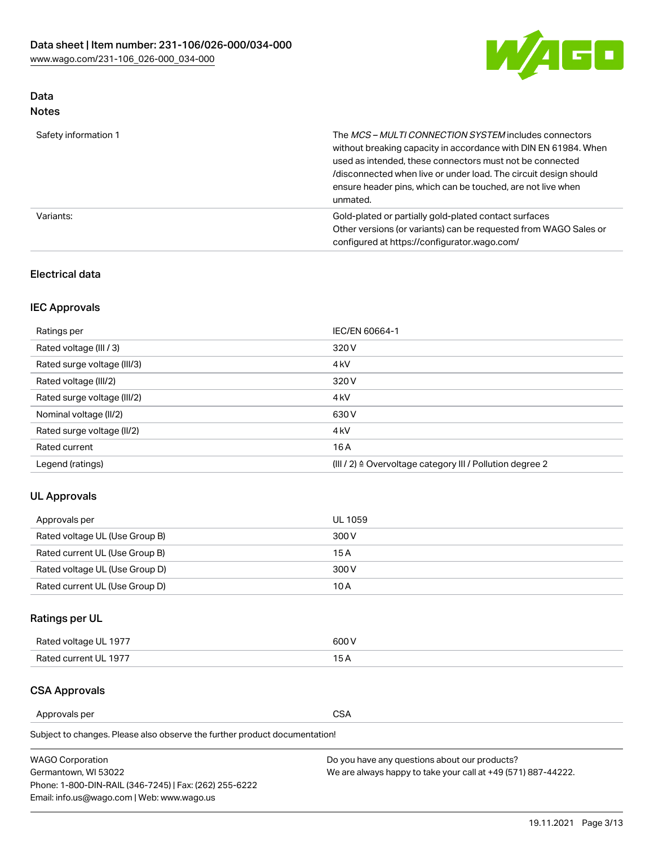

# Data

| Safety information 1 | The MCS-MULTI CONNECTION SYSTEM includes connectors<br>without breaking capacity in accordance with DIN EN 61984. When<br>used as intended, these connectors must not be connected<br>/disconnected when live or under load. The circuit design should<br>ensure header pins, which can be touched, are not live when<br>unmated. |
|----------------------|-----------------------------------------------------------------------------------------------------------------------------------------------------------------------------------------------------------------------------------------------------------------------------------------------------------------------------------|
| Variants:            | Gold-plated or partially gold-plated contact surfaces<br>Other versions (or variants) can be requested from WAGO Sales or<br>configured at https://configurator.wago.com/                                                                                                                                                         |

# Electrical data

# IEC Approvals

| Ratings per                 | IEC/EN 60664-1                                                        |
|-----------------------------|-----------------------------------------------------------------------|
| Rated voltage (III / 3)     | 320 V                                                                 |
| Rated surge voltage (III/3) | 4 <sub>k</sub> V                                                      |
| Rated voltage (III/2)       | 320 V                                                                 |
| Rated surge voltage (III/2) | 4 <sub>k</sub> V                                                      |
| Nominal voltage (II/2)      | 630 V                                                                 |
| Rated surge voltage (II/2)  | 4 <sub>k</sub> V                                                      |
| Rated current               | 16A                                                                   |
| Legend (ratings)            | $(III / 2)$ $\triangle$ Overvoltage category III / Pollution degree 2 |

## UL Approvals

| Approvals per                  | UL 1059 |
|--------------------------------|---------|
| Rated voltage UL (Use Group B) | 300 V   |
| Rated current UL (Use Group B) | 15 A    |
| Rated voltage UL (Use Group D) | 300 V   |
| Rated current UL (Use Group D) | 10 A    |

# Ratings per UL

| Rated voltage UL 1977 | 600 V         |
|-----------------------|---------------|
| Rated current UL 1977 | $\sim$ $\sim$ |

# CSA Approvals

Approvals per CSA

| <b>WAGO Corporation</b>                                | Do you have any questions about our products?                 |
|--------------------------------------------------------|---------------------------------------------------------------|
| Germantown, WI 53022                                   | We are always happy to take your call at +49 (571) 887-44222. |
| Phone: 1-800-DIN-RAIL (346-7245)   Fax: (262) 255-6222 |                                                               |
| Email: info.us@wago.com   Web: www.wago.us             |                                                               |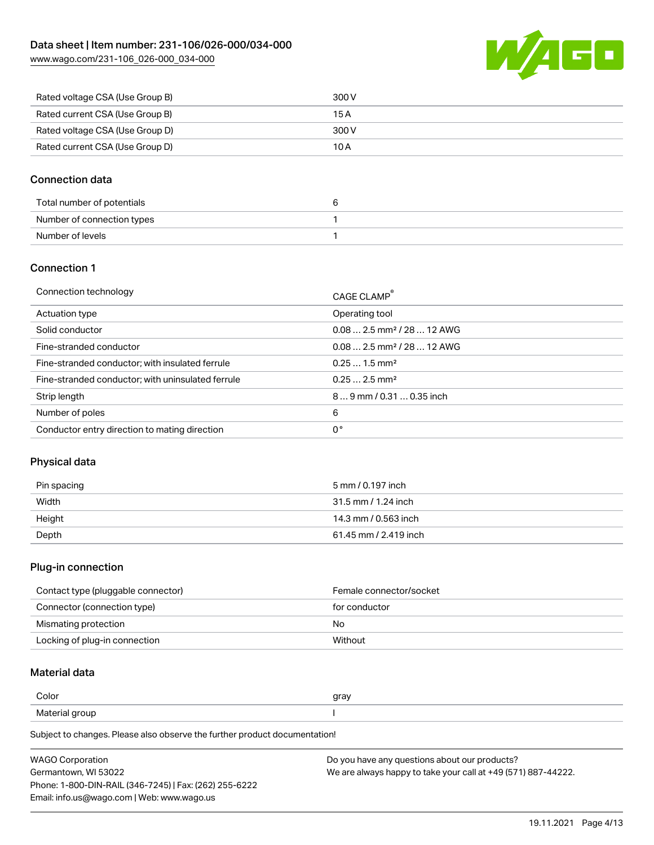

| Rated voltage CSA (Use Group B) | 300 V |
|---------------------------------|-------|
| Rated current CSA (Use Group B) | 15 A  |
| Rated voltage CSA (Use Group D) | 300 V |
| Rated current CSA (Use Group D) | 10 A  |

### Connection data

| Total number of potentials |  |
|----------------------------|--|
| Number of connection types |  |
| Number of levels           |  |

#### Connection 1

| Connection technology                             | CAGE CLAMP®                            |
|---------------------------------------------------|----------------------------------------|
| Actuation type                                    | Operating tool                         |
| Solid conductor                                   | $0.082.5$ mm <sup>2</sup> / 28  12 AWG |
| Fine-stranded conductor                           | $0.082.5$ mm <sup>2</sup> / 28  12 AWG |
| Fine-stranded conductor; with insulated ferrule   | $0.251.5$ mm <sup>2</sup>              |
| Fine-stranded conductor; with uninsulated ferrule | $0.252.5$ mm <sup>2</sup>              |
| Strip length                                      | $89$ mm / 0.31  0.35 inch              |
| Number of poles                                   | 6                                      |
| Conductor entry direction to mating direction     | 0°                                     |

#### Physical data

| Pin spacing | 5 mm / 0.197 inch     |
|-------------|-----------------------|
| Width       | 31.5 mm / 1.24 inch   |
| Height      | 14.3 mm / 0.563 inch  |
| Depth       | 61.45 mm / 2.419 inch |

#### Plug-in connection

| Contact type (pluggable connector) | Female connector/socket |
|------------------------------------|-------------------------|
| Connector (connection type)        | for conductor           |
| Mismating protection               | No                      |
| Locking of plug-in connection      | Without                 |

# Material data

| Color          | gray |
|----------------|------|
| Material group |      |

| <b>WAGO Corporation</b>                                | Do you have any questions about our products?                 |
|--------------------------------------------------------|---------------------------------------------------------------|
| Germantown, WI 53022                                   | We are always happy to take your call at +49 (571) 887-44222. |
| Phone: 1-800-DIN-RAIL (346-7245)   Fax: (262) 255-6222 |                                                               |
| Email: info.us@wago.com   Web: www.wago.us             |                                                               |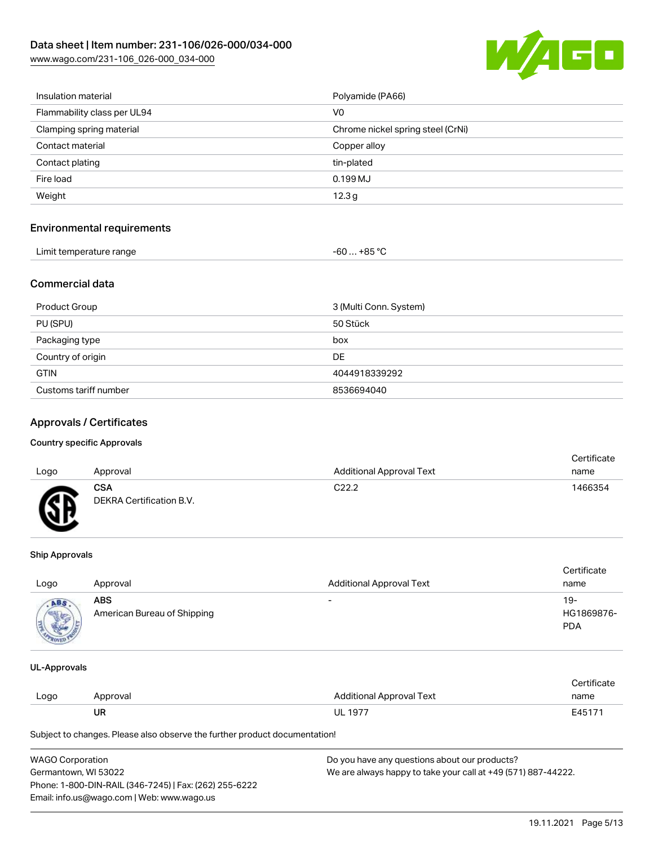

| Insulation material         | Polyamide (PA66)                  |
|-----------------------------|-----------------------------------|
| Flammability class per UL94 | V0                                |
| Clamping spring material    | Chrome nickel spring steel (CrNi) |
| Contact material            | Copper alloy                      |
| Contact plating             | tin-plated                        |
| Fire load                   | 0.199MJ                           |
| Weight                      | 12.3 <sub>g</sub>                 |
|                             |                                   |

### Environmental requirements

| Limit temperature range | . +85 °C<br>- 60  . |  |
|-------------------------|---------------------|--|

#### Commercial data

| <b>Product Group</b>  | 3 (Multi Conn. System) |
|-----------------------|------------------------|
| PU (SPU)              | 50 Stück               |
| Packaging type        | box                    |
| Country of origin     | DE                     |
| <b>GTIN</b>           | 4044918339292          |
| Customs tariff number | 8536694040             |

### Approvals / Certificates

#### Country specific Approvals

|      |                          |                                 | Certificate |
|------|--------------------------|---------------------------------|-------------|
| Logo | Approval                 | <b>Additional Approval Text</b> | name        |
|      | CSA                      | C <sub>22.2</sub>               | 1466354     |
| Æ    | DEKRA Certification B.V. |                                 |             |

#### Ship Approvals

| Logo | Approval                                  | <b>Additional Approval Text</b> | Certificate<br>name             |
|------|-------------------------------------------|---------------------------------|---------------------------------|
| ABS  | <b>ABS</b><br>American Bureau of Shipping | $\overline{\phantom{0}}$        | 19-<br>HG1869876-<br><b>PDA</b> |

#### UL-Approvals

|      |          |                          | Certificate |  |
|------|----------|--------------------------|-------------|--|
| Logo | Approval | Additional Approval Text | name        |  |
|      | UR       | UL 1977                  | E45171      |  |

| <b>WAGO Corporation</b>                                | Do you have any questions about our products?                 |
|--------------------------------------------------------|---------------------------------------------------------------|
| Germantown, WI 53022                                   | We are always happy to take your call at +49 (571) 887-44222. |
| Phone: 1-800-DIN-RAIL (346-7245)   Fax: (262) 255-6222 |                                                               |
| Email: info.us@wago.com   Web: www.wago.us             |                                                               |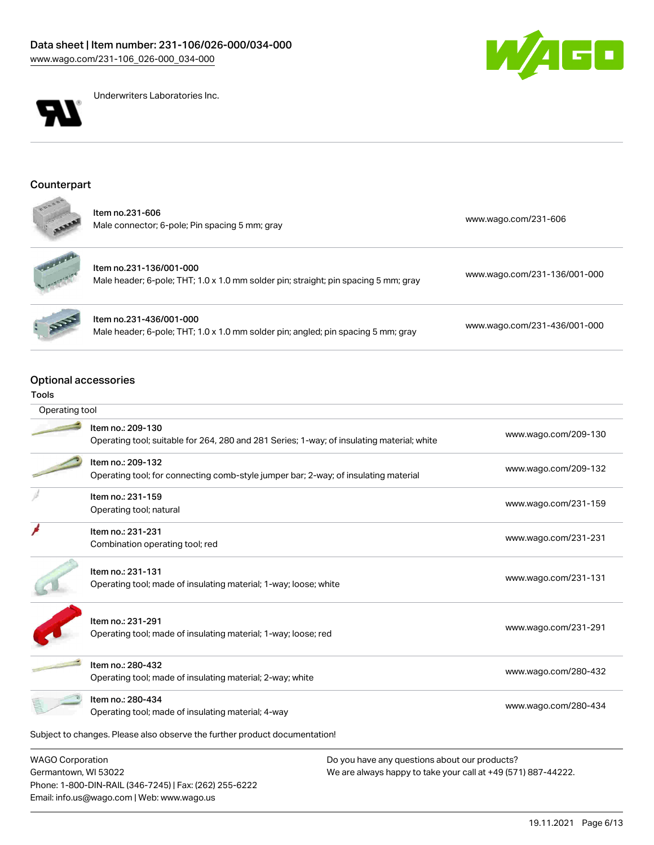



Underwriters Laboratories Inc.

Item no.231-436/001-000

## Counterpart

| ltem no.231-606<br>Male connector; 6-pole; Pin spacing 5 mm; gray | www.wago.com/231-606 |
|-------------------------------------------------------------------|----------------------|
|                                                                   |                      |



Item no.231-136/001-000 Male header; 6-pole; THT; 1.0 x 1.0 mm solder pin; straight; pin spacing 5 mm; gray [www.wago.com/231-136/001-000](https://www.wago.com/231-136/001-000)

Male header; 6-pole; THT; 1.0 x 1.0 mm solder pin; angled; pin spacing 5 mm; gray [www.wago.com/231-436/001-000](https://www.wago.com/231-436/001-000)

#### Optional accessories

#### Tools

| Operating tool          |                                                                                                                 |                      |
|-------------------------|-----------------------------------------------------------------------------------------------------------------|----------------------|
|                         | Item no.: 209-130<br>Operating tool; suitable for 264, 280 and 281 Series; 1-way; of insulating material; white | www.wago.com/209-130 |
|                         | Item no.: 209-132<br>Operating tool; for connecting comb-style jumper bar; 2-way; of insulating material        | www.wago.com/209-132 |
|                         | Item no.: 231-159                                                                                               |                      |
|                         | Operating tool; natural                                                                                         | www.wago.com/231-159 |
|                         | Item no.: 231-231<br>Combination operating tool; red                                                            | www.wago.com/231-231 |
|                         | Item no.: 231-131<br>Operating tool; made of insulating material; 1-way; loose; white                           | www.wago.com/231-131 |
|                         | Item no.: 231-291<br>Operating tool; made of insulating material; 1-way; loose; red                             | www.wago.com/231-291 |
|                         | Item no.: 280-432<br>Operating tool; made of insulating material; 2-way; white                                  | www.wago.com/280-432 |
|                         | Item no.: 280-434<br>Operating tool; made of insulating material; 4-way                                         | www.wago.com/280-434 |
|                         | Subject to changes. Please also observe the further product documentation!                                      |                      |
| <b>WAGO Corporation</b> | Do you have any questions about our products?                                                                   |                      |

Germantown, WI 53022 Phone: 1-800-DIN-RAIL (346-7245) | Fax: (262) 255-6222 Email: info.us@wago.com | Web: www.wago.us

We are always happy to take your call at +49 (571) 887-44222.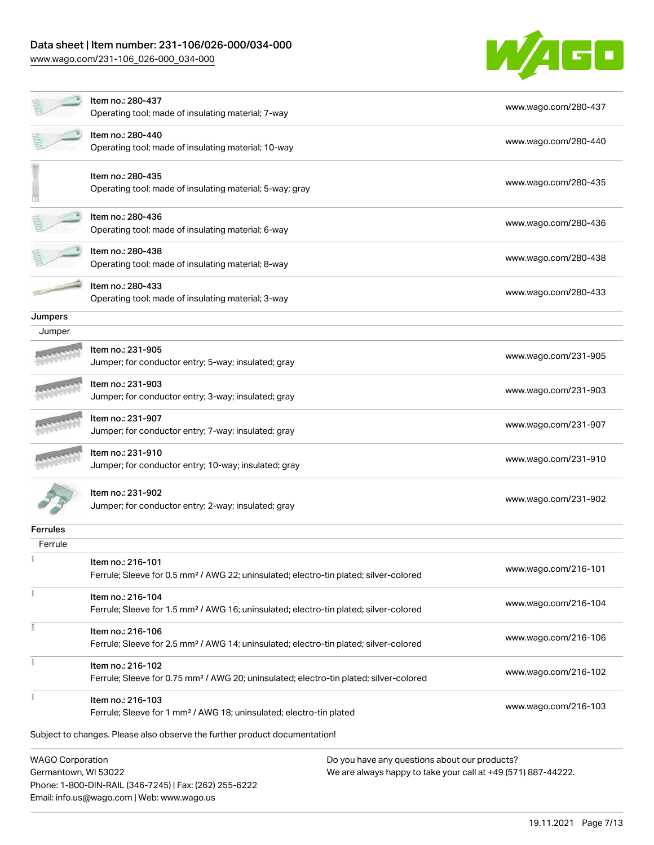# Data sheet | Item number: 231-106/026-000/034-000

[www.wago.com/231-106\\_026-000\\_034-000](http://www.wago.com/231-106_026-000_034-000)

Email: info.us@wago.com | Web: www.wago.us



|                                                 | ltem no.: 280-437<br>Operating tool; made of insulating material; 7-way                                                 |                                                                                                                | www.wago.com/280-437 |
|-------------------------------------------------|-------------------------------------------------------------------------------------------------------------------------|----------------------------------------------------------------------------------------------------------------|----------------------|
|                                                 | Item no.: 280-440<br>Operating tool; made of insulating material; 10-way                                                |                                                                                                                | www.wago.com/280-440 |
|                                                 | Item no.: 280-435<br>Operating tool; made of insulating material; 5-way; gray                                           |                                                                                                                | www.wago.com/280-435 |
|                                                 | Item no.: 280-436<br>Operating tool; made of insulating material; 6-way                                                 |                                                                                                                | www.wago.com/280-436 |
|                                                 | Item no.: 280-438<br>Operating tool; made of insulating material; 8-way                                                 |                                                                                                                | www.wago.com/280-438 |
|                                                 | Item no.: 280-433<br>Operating tool; made of insulating material; 3-way                                                 |                                                                                                                | www.wago.com/280-433 |
| Jumpers                                         |                                                                                                                         |                                                                                                                |                      |
| Jumper                                          |                                                                                                                         |                                                                                                                |                      |
|                                                 | Item no.: 231-905<br>Jumper; for conductor entry; 5-way; insulated; gray                                                |                                                                                                                | www.wago.com/231-905 |
|                                                 | Item no.: 231-903<br>Jumper; for conductor entry; 3-way; insulated; gray                                                |                                                                                                                | www.wago.com/231-903 |
|                                                 | Item no.: 231-907<br>Jumper; for conductor entry; 7-way; insulated; gray                                                |                                                                                                                | www.wago.com/231-907 |
|                                                 | Item no.: 231-910<br>Jumper; for conductor entry; 10-way; insulated; gray                                               |                                                                                                                | www.wago.com/231-910 |
|                                                 | ltem no.: 231-902<br>Jumper; for conductor entry; 2-way; insulated; gray                                                |                                                                                                                | www.wago.com/231-902 |
| <b>Ferrules</b>                                 |                                                                                                                         |                                                                                                                |                      |
| Ferrule                                         |                                                                                                                         |                                                                                                                |                      |
|                                                 | Item no.: 216-101<br>Ferrule; Sleeve for 0.5 mm <sup>2</sup> / AWG 22; uninsulated; electro-tin plated; silver-colored  |                                                                                                                | www.waqo.com/216-101 |
|                                                 | Item no.: 216-104<br>Ferrule; Sleeve for 1.5 mm <sup>2</sup> / AWG 16; uninsulated; electro-tin plated; silver-colored  |                                                                                                                | www.wago.com/216-104 |
|                                                 | Item no.: 216-106<br>Ferrule; Sleeve for 2.5 mm <sup>2</sup> / AWG 14; uninsulated; electro-tin plated; silver-colored  |                                                                                                                | www.wago.com/216-106 |
|                                                 | Item no.: 216-102<br>Ferrule; Sleeve for 0.75 mm <sup>2</sup> / AWG 20; uninsulated; electro-tin plated; silver-colored |                                                                                                                | www.wago.com/216-102 |
|                                                 | Item no.: 216-103<br>Ferrule; Sleeve for 1 mm <sup>2</sup> / AWG 18; uninsulated; electro-tin plated                    |                                                                                                                | www.wago.com/216-103 |
|                                                 | Subject to changes. Please also observe the further product documentation!                                              |                                                                                                                |                      |
| <b>WAGO Corporation</b><br>Germantown, WI 53022 | Phone: 1-800-DIN-RAIL (346-7245)   Fax: (262) 255-6222                                                                  | Do you have any questions about our products?<br>We are always happy to take your call at +49 (571) 887-44222. |                      |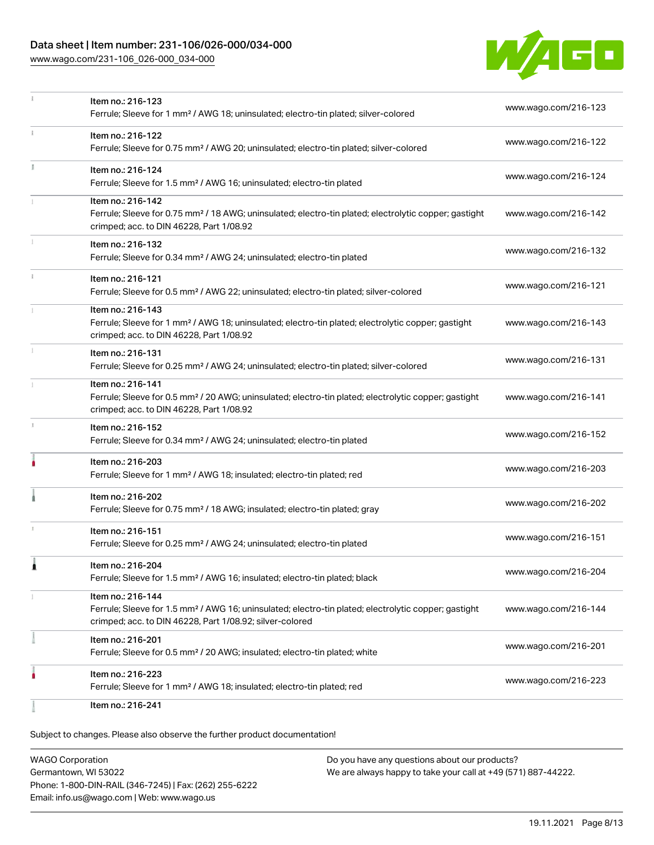# Data sheet | Item number: 231-106/026-000/034-000

[www.wago.com/231-106\\_026-000\\_034-000](http://www.wago.com/231-106_026-000_034-000)



|               | Item no.: 216-123                                                                                                                                             | www.wago.com/216-123 |  |
|---------------|---------------------------------------------------------------------------------------------------------------------------------------------------------------|----------------------|--|
|               | Ferrule; Sleeve for 1 mm <sup>2</sup> / AWG 18; uninsulated; electro-tin plated; silver-colored                                                               |                      |  |
|               | Item no.: 216-122                                                                                                                                             |                      |  |
|               | Ferrule; Sleeve for 0.75 mm <sup>2</sup> / AWG 20; uninsulated; electro-tin plated; silver-colored                                                            | www.wago.com/216-122 |  |
| I.            | Item no.: 216-124                                                                                                                                             |                      |  |
|               | Ferrule; Sleeve for 1.5 mm <sup>2</sup> / AWG 16; uninsulated; electro-tin plated                                                                             | www.wago.com/216-124 |  |
|               | Item no.: 216-142                                                                                                                                             |                      |  |
|               | Ferrule; Sleeve for 0.75 mm <sup>2</sup> / 18 AWG; uninsulated; electro-tin plated; electrolytic copper; gastight<br>crimped; acc. to DIN 46228, Part 1/08.92 | www.wago.com/216-142 |  |
|               | Item no.: 216-132                                                                                                                                             | www.wago.com/216-132 |  |
|               | Ferrule; Sleeve for 0.34 mm <sup>2</sup> / AWG 24; uninsulated; electro-tin plated                                                                            |                      |  |
| $\frac{1}{3}$ | Item no.: 216-121                                                                                                                                             |                      |  |
|               | Ferrule; Sleeve for 0.5 mm <sup>2</sup> / AWG 22; uninsulated; electro-tin plated; silver-colored                                                             | www.wago.com/216-121 |  |
|               | Item no.: 216-143                                                                                                                                             |                      |  |
|               | Ferrule; Sleeve for 1 mm <sup>2</sup> / AWG 18; uninsulated; electro-tin plated; electrolytic copper; gastight<br>crimped; acc. to DIN 46228, Part 1/08.92    | www.wago.com/216-143 |  |
|               | Item no.: 216-131                                                                                                                                             |                      |  |
|               | Ferrule; Sleeve for 0.25 mm <sup>2</sup> / AWG 24; uninsulated; electro-tin plated; silver-colored                                                            | www.wago.com/216-131 |  |
|               | Item no.: 216-141                                                                                                                                             |                      |  |
|               | Ferrule; Sleeve for 0.5 mm <sup>2</sup> / 20 AWG; uninsulated; electro-tin plated; electrolytic copper; gastight<br>crimped; acc. to DIN 46228, Part 1/08.92  | www.wago.com/216-141 |  |
| A.            | Item no.: 216-152                                                                                                                                             | www.wago.com/216-152 |  |
|               | Ferrule; Sleeve for 0.34 mm <sup>2</sup> / AWG 24; uninsulated; electro-tin plated                                                                            |                      |  |
|               | Item no.: 216-203                                                                                                                                             | www.wago.com/216-203 |  |
|               | Ferrule; Sleeve for 1 mm <sup>2</sup> / AWG 18; insulated; electro-tin plated; red                                                                            |                      |  |
|               | Item no.: 216-202                                                                                                                                             |                      |  |
|               | Ferrule; Sleeve for 0.75 mm <sup>2</sup> / 18 AWG; insulated; electro-tin plated; gray                                                                        | www.wago.com/216-202 |  |
|               | Item no.: 216-151                                                                                                                                             |                      |  |
|               | Ferrule; Sleeve for 0.25 mm <sup>2</sup> / AWG 24; uninsulated; electro-tin plated                                                                            | www.wago.com/216-151 |  |
| 1             | Item no.: 216-204                                                                                                                                             |                      |  |
|               | Ferrule; Sleeve for 1.5 mm <sup>2</sup> / AWG 16; insulated; electro-tin plated; black                                                                        | www.wago.com/216-204 |  |
|               | Item no.: 216-144                                                                                                                                             |                      |  |
|               | Ferrule; Sleeve for 1.5 mm <sup>2</sup> / AWG 16; uninsulated; electro-tin plated; electrolytic copper; gastight                                              | www.wago.com/216-144 |  |
|               | crimped; acc. to DIN 46228, Part 1/08.92; silver-colored                                                                                                      |                      |  |
|               | Item no.: 216-201                                                                                                                                             | www.wago.com/216-201 |  |
|               | Ferrule; Sleeve for 0.5 mm <sup>2</sup> / 20 AWG; insulated; electro-tin plated; white                                                                        |                      |  |
|               | Item no.: 216-223                                                                                                                                             | www.wago.com/216-223 |  |
|               | Ferrule; Sleeve for 1 mm <sup>2</sup> / AWG 18; insulated; electro-tin plated; red                                                                            |                      |  |
|               | Item no.: 216-241                                                                                                                                             |                      |  |

| <b>WAGO Corporation</b>                                | Do you have any questions about our products?                 |
|--------------------------------------------------------|---------------------------------------------------------------|
| Germantown, WI 53022                                   | We are always happy to take your call at +49 (571) 887-44222. |
| Phone: 1-800-DIN-RAIL (346-7245)   Fax: (262) 255-6222 |                                                               |
| Email: info.us@wago.com   Web: www.wago.us             |                                                               |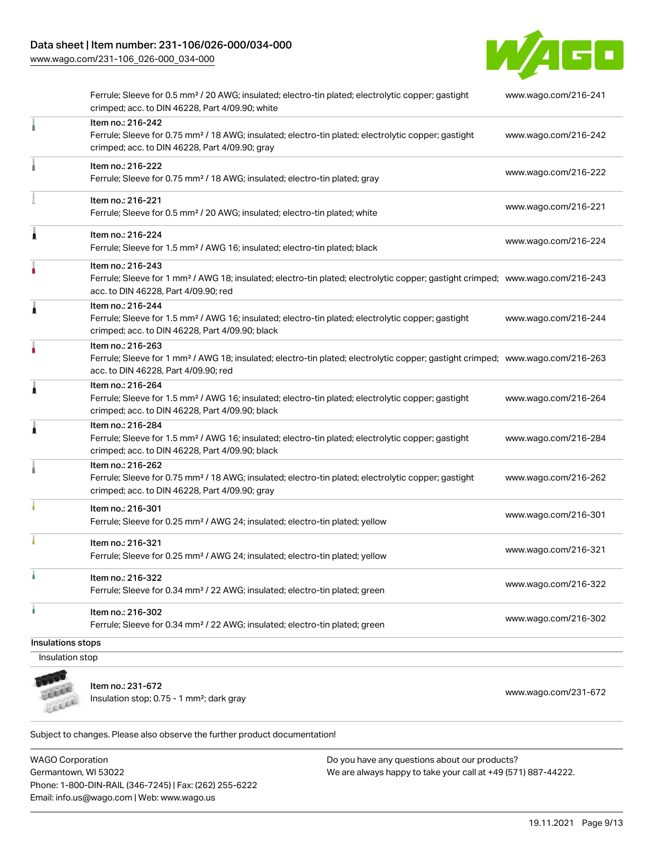## Data sheet | Item number: 231-106/026-000/034-000

[www.wago.com/231-106\\_026-000\\_034-000](http://www.wago.com/231-106_026-000_034-000)



|   | Item no.: 216-242                                                                                                                                                                                       |                      |
|---|---------------------------------------------------------------------------------------------------------------------------------------------------------------------------------------------------------|----------------------|
|   | Ferrule; Sleeve for 0.75 mm <sup>2</sup> / 18 AWG; insulated; electro-tin plated; electrolytic copper; gastight<br>crimped; acc. to DIN 46228, Part 4/09.90; gray                                       | www.wago.com/216-242 |
|   | Item no.: 216-222<br>Ferrule; Sleeve for 0.75 mm <sup>2</sup> / 18 AWG; insulated; electro-tin plated; gray                                                                                             | www.wago.com/216-222 |
|   | Item no.: 216-221<br>Ferrule; Sleeve for 0.5 mm <sup>2</sup> / 20 AWG; insulated; electro-tin plated; white                                                                                             | www.wago.com/216-221 |
| Â | Item no.: 216-224<br>Ferrule; Sleeve for 1.5 mm <sup>2</sup> / AWG 16; insulated; electro-tin plated; black                                                                                             | www.wago.com/216-224 |
|   | Item no.: 216-243<br>Ferrule; Sleeve for 1 mm <sup>2</sup> / AWG 18; insulated; electro-tin plated; electrolytic copper; gastight crimped; www.wago.com/216-243<br>acc. to DIN 46228, Part 4/09.90; red |                      |
| 1 | Item no.: 216-244<br>Ferrule; Sleeve for 1.5 mm <sup>2</sup> / AWG 16; insulated; electro-tin plated; electrolytic copper; gastight<br>crimped; acc. to DIN 46228, Part 4/09.90; black                  | www.wago.com/216-244 |
|   | Item no.: 216-263<br>Ferrule; Sleeve for 1 mm <sup>2</sup> / AWG 18; insulated; electro-tin plated; electrolytic copper; gastight crimped; www.wago.com/216-263<br>acc. to DIN 46228, Part 4/09.90; red |                      |
| Â | Item no.: 216-264<br>Ferrule; Sleeve for 1.5 mm <sup>2</sup> / AWG 16; insulated; electro-tin plated; electrolytic copper; gastight<br>crimped; acc. to DIN 46228, Part 4/09.90; black                  | www.wago.com/216-264 |
| Â | Item no.: 216-284<br>Ferrule; Sleeve for 1.5 mm <sup>2</sup> / AWG 16; insulated; electro-tin plated; electrolytic copper; gastight<br>crimped; acc. to DIN 46228, Part 4/09.90; black                  | www.wago.com/216-284 |
|   | Item no.: 216-262<br>Ferrule; Sleeve for 0.75 mm <sup>2</sup> / 18 AWG; insulated; electro-tin plated; electrolytic copper; gastight<br>crimped; acc. to DIN 46228, Part 4/09.90; gray                  | www.wago.com/216-262 |
|   | Item no.: 216-301<br>Ferrule; Sleeve for 0.25 mm <sup>2</sup> / AWG 24; insulated; electro-tin plated; yellow                                                                                           | www.wago.com/216-301 |
|   | Item no.: 216-321<br>Ferrule; Sleeve for 0.25 mm <sup>2</sup> / AWG 24; insulated; electro-tin plated; yellow                                                                                           | www.wago.com/216-321 |
|   | Item no.: 216-322<br>Ferrule; Sleeve for 0.34 mm <sup>2</sup> / 22 AWG; insulated; electro-tin plated; green                                                                                            | www.wago.com/216-322 |
| ٠ | Item no.: 216-302<br>Ferrule; Sleeve for 0.34 mm <sup>2</sup> / 22 AWG; insulated; electro-tin plated; green                                                                                            | www.wago.com/216-302 |

**COLLEGE** Leece

Item no.: 231-672

Insulation stop; 0.75 - 1 mm²; dark gray [www.wago.com/231-672](http://www.wago.com/231-672)

Subject to changes. Please also observe the further product documentation!

WAGO Corporation Germantown, WI 53022 Phone: 1-800-DIN-RAIL (346-7245) | Fax: (262) 255-6222 Email: info.us@wago.com | Web: www.wago.us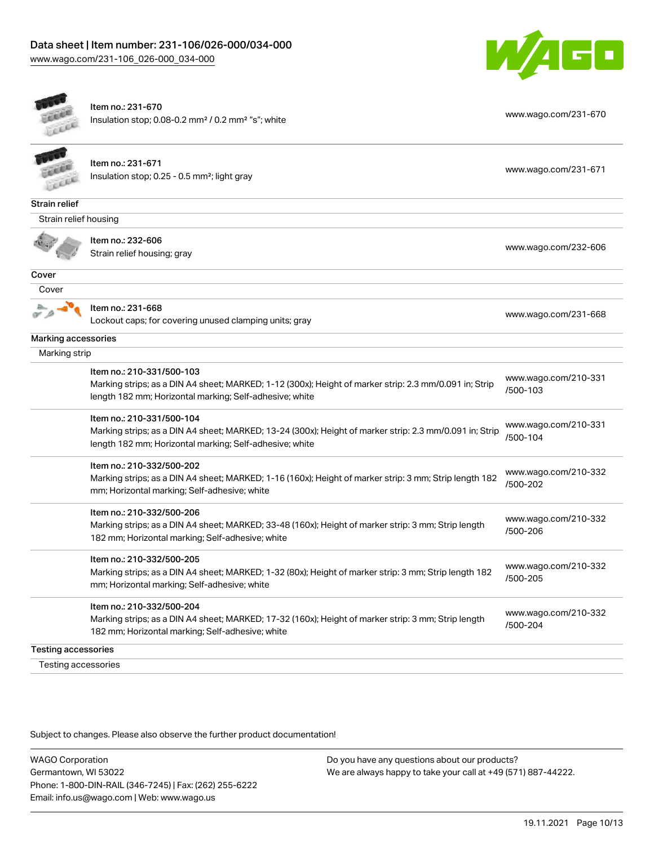$\overline{ }$ 



|                            | Item no.: 231-670<br>Insulation stop; 0.08-0.2 mm <sup>2</sup> / 0.2 mm <sup>2</sup> "s"; white                                                                                                 | www.wago.com/231-670             |
|----------------------------|-------------------------------------------------------------------------------------------------------------------------------------------------------------------------------------------------|----------------------------------|
|                            | Item no.: 231-671<br>Insulation stop; 0.25 - 0.5 mm <sup>2</sup> ; light gray                                                                                                                   | www.wago.com/231-671             |
| Strain relief              |                                                                                                                                                                                                 |                                  |
| Strain relief housing      |                                                                                                                                                                                                 |                                  |
|                            | Item no.: 232-606<br>Strain relief housing; gray                                                                                                                                                | www.wago.com/232-606             |
| Cover                      |                                                                                                                                                                                                 |                                  |
| Cover                      |                                                                                                                                                                                                 |                                  |
|                            | Item no.: 231-668<br>Lockout caps; for covering unused clamping units; gray                                                                                                                     | www.wago.com/231-668             |
| Marking accessories        |                                                                                                                                                                                                 |                                  |
| Marking strip              |                                                                                                                                                                                                 |                                  |
|                            | Item no.: 210-331/500-103<br>Marking strips; as a DIN A4 sheet; MARKED; 1-12 (300x); Height of marker strip: 2.3 mm/0.091 in; Strip<br>length 182 mm; Horizontal marking; Self-adhesive; white  | www.wago.com/210-331<br>/500-103 |
|                            | Item no.: 210-331/500-104<br>Marking strips; as a DIN A4 sheet; MARKED; 13-24 (300x); Height of marker strip: 2.3 mm/0.091 in; Strip<br>length 182 mm; Horizontal marking; Self-adhesive; white | www.wago.com/210-331<br>/500-104 |
|                            | Item no.: 210-332/500-202<br>Marking strips; as a DIN A4 sheet; MARKED; 1-16 (160x); Height of marker strip: 3 mm; Strip length 182<br>mm; Horizontal marking; Self-adhesive; white             | www.wago.com/210-332<br>/500-202 |
|                            | Item no.: 210-332/500-206<br>Marking strips; as a DIN A4 sheet; MARKED; 33-48 (160x); Height of marker strip: 3 mm; Strip length<br>182 mm; Horizontal marking; Self-adhesive; white            | www.wago.com/210-332<br>/500-206 |
|                            | Item no.: 210-332/500-205<br>Marking strips; as a DIN A4 sheet; MARKED; 1-32 (80x); Height of marker strip: 3 mm; Strip length 182<br>mm; Horizontal marking; Self-adhesive; white              | www.wago.com/210-332<br>/500-205 |
|                            | Item no.: 210-332/500-204<br>Marking strips; as a DIN A4 sheet; MARKED; 17-32 (160x); Height of marker strip: 3 mm; Strip length<br>182 mm; Horizontal marking; Self-adhesive; white            | www.wago.com/210-332<br>/500-204 |
| <b>Testing accessories</b> |                                                                                                                                                                                                 |                                  |
| Testing accessories        |                                                                                                                                                                                                 |                                  |

Subject to changes. Please also observe the further product documentation!

WAGO Corporation Germantown, WI 53022 Phone: 1-800-DIN-RAIL (346-7245) | Fax: (262) 255-6222 Email: info.us@wago.com | Web: www.wago.us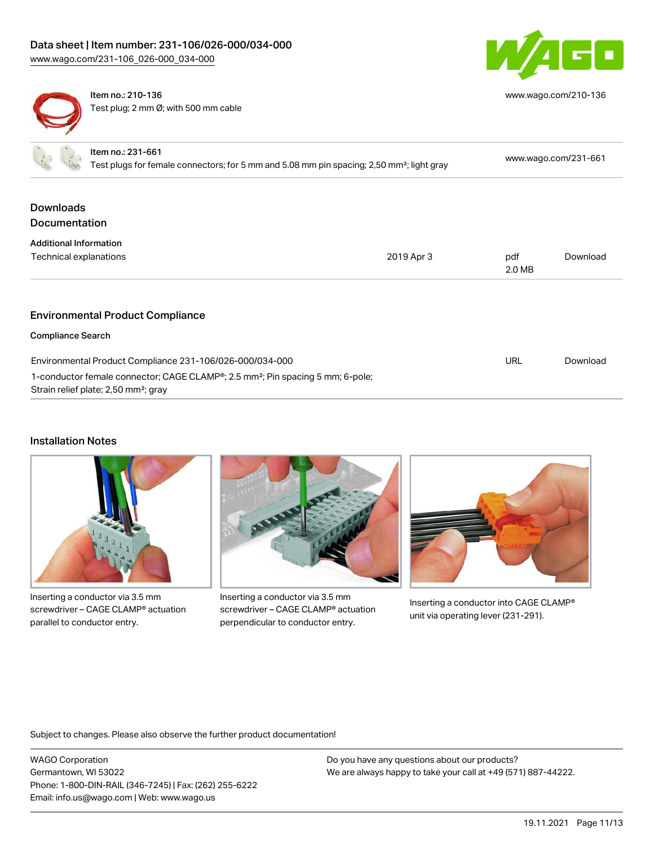



Item no.: 210-136 Test plug; 2 mm Ø; with 500 mm cable [www.wago.com/210-136](http://www.wago.com/210-136)

| Item no.: 231-661<br>Test plugs for female connectors; for 5 mm and 5.08 mm pin spacing; 2,50 mm <sup>2</sup> ; light gray                     |            | www.wago.com/231-661 |          |
|------------------------------------------------------------------------------------------------------------------------------------------------|------------|----------------------|----------|
| <b>Downloads</b>                                                                                                                               |            |                      |          |
| <b>Documentation</b>                                                                                                                           |            |                      |          |
| <b>Additional Information</b>                                                                                                                  |            |                      |          |
| Technical explanations                                                                                                                         | 2019 Apr 3 | pdf<br>2.0 MB        | Download |
|                                                                                                                                                |            |                      |          |
| <b>Environmental Product Compliance</b>                                                                                                        |            |                      |          |
| <b>Compliance Search</b>                                                                                                                       |            |                      |          |
| Environmental Product Compliance 231-106/026-000/034-000                                                                                       |            | <b>URL</b>           | Download |
| 1-conductor female connector; CAGE CLAMP®; 2.5 mm <sup>2</sup> ; Pin spacing 5 mm; 6-pole;<br>Strain relief plate; 2,50 mm <sup>2</sup> ; gray |            |                      |          |

## Installation Notes



Inserting a conductor via 3.5 mm screwdriver – CAGE CLAMP® actuation parallel to conductor entry.



Inserting a conductor via 3.5 mm screwdriver – CAGE CLAMP® actuation perpendicular to conductor entry.



Inserting a conductor into CAGE CLAMP® unit via operating lever (231-291).

Subject to changes. Please also observe the further product documentation!

WAGO Corporation Germantown, WI 53022 Phone: 1-800-DIN-RAIL (346-7245) | Fax: (262) 255-6222 Email: info.us@wago.com | Web: www.wago.us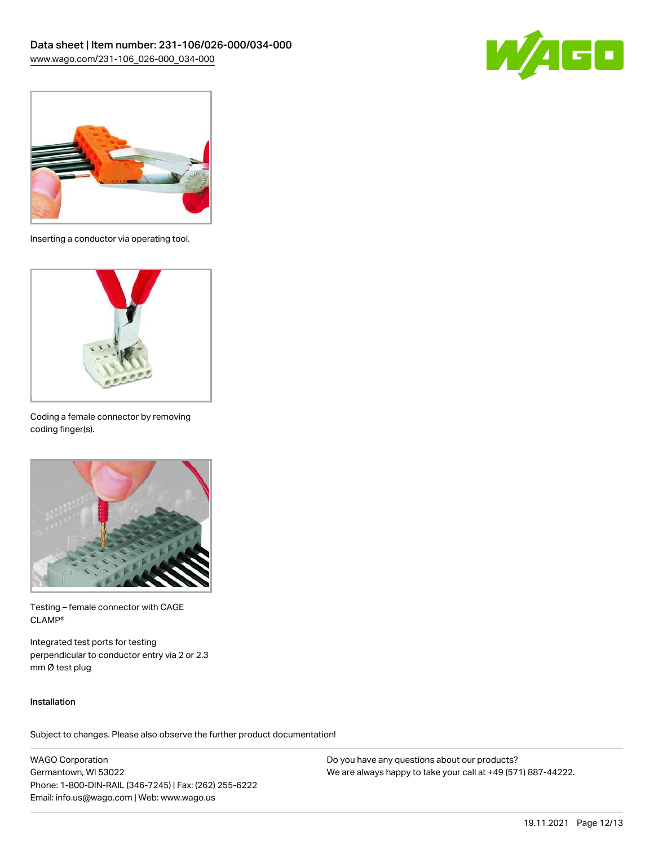



Inserting a conductor via operating tool.



Coding a female connector by removing coding finger(s).



Testing – female connector with CAGE CLAMP®

Integrated test ports for testing perpendicular to conductor entry via 2 or 2.3 mm Ø test plug

#### Installation

Subject to changes. Please also observe the further product documentation!

WAGO Corporation Germantown, WI 53022 Phone: 1-800-DIN-RAIL (346-7245) | Fax: (262) 255-6222 Email: info.us@wago.com | Web: www.wago.us